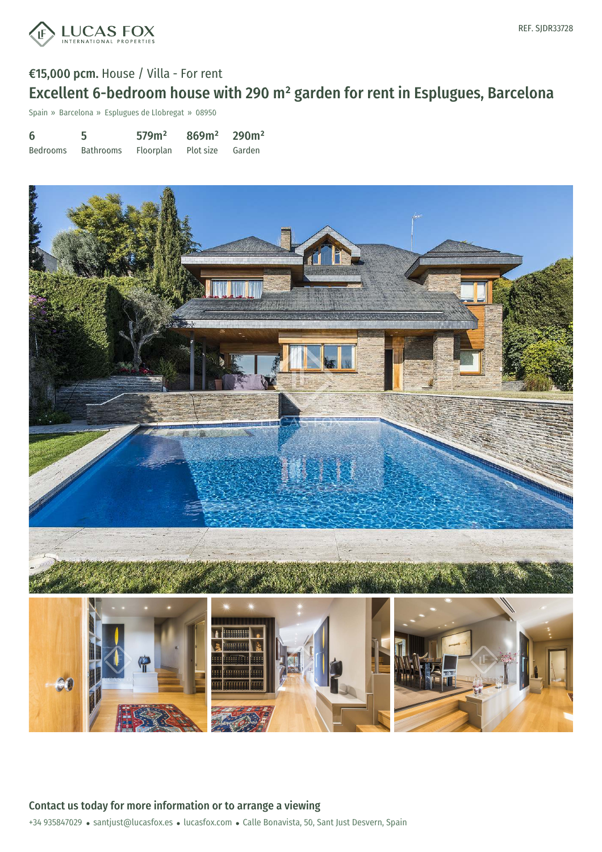

# €15,000 pcm. House / Villa - For rent Excellent 6-bedroom house with 290 m² garden for rent in Esplugues, Barcelona

Spain » Barcelona » Esplugues de Llobregat » 08950

| 6        | 5.                                   | 579m <sup>2</sup> | $869m^2$ 290m <sup>2</sup> |  |
|----------|--------------------------------------|-------------------|----------------------------|--|
| Bedrooms | Bathrooms Floorplan Plot size Garden |                   |                            |  |



+34 935847029 · santjust@lucasfox.es · lucasfox.com · Calle Bonavista, 50, Sant Just Desvern, Spain Contact us today for more information or to arrange a viewing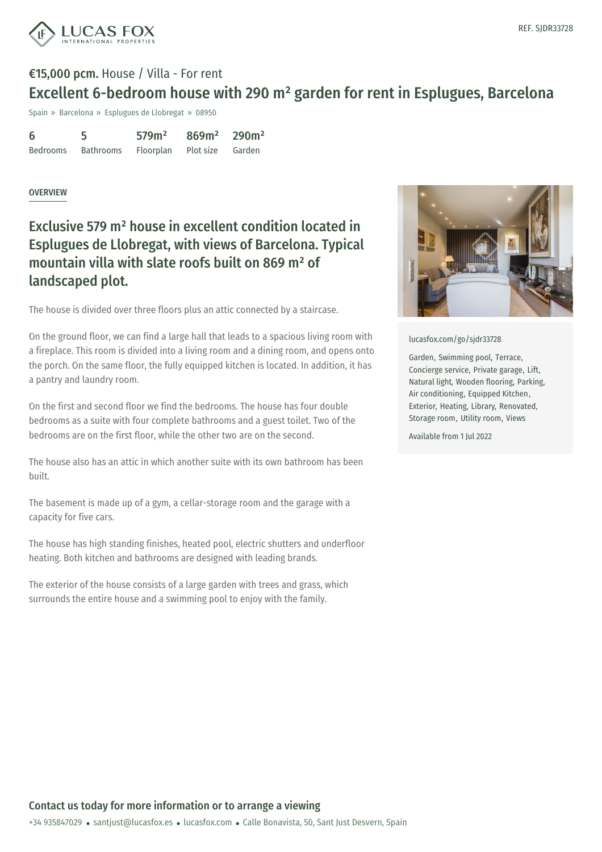



## €15,000 pcm. House / Villa - For rent Excellent 6-bedroom house with 290 m² garden for rent in Esplugues, Barcelona

Spain » Barcelona » Esplugues de Llobregat » 08950

| 6               | 5         | 579m <sup>2</sup> | $869m^2$ 290m <sup>2</sup> |        |
|-----------------|-----------|-------------------|----------------------------|--------|
| <b>Bedrooms</b> | Bathrooms | Floorplan         | Plot size                  | Garden |

#### **OVERVIEW**

### Exclusive 579 m² house in excellent condition located in Esplugues de Llobregat, with views of Barcelona. Typical mountain villa with slate roofs built on 869 m² of landscaped plot.

The house is divided over three floors plus an attic connected by a staircase.

On the ground floor, we can find a large hall that leads to a spacious living room with a fireplace. This room is divided into a living room and a dining room, and opens onto the porch. On the same floor, the fully equipped kitchen is located. In addition, it has a pantry and laundry room.

On the first and second floor we find the bedrooms. The house has four double bedrooms as a suite with four complete bathrooms and a guest toilet. Two of the bedrooms are on the first floor, while the other two are on the second.

The house also has an attic in which another suite with its own bathroom has been built.

The basement is made up of a gym, a cellar-storage room and the garage with a capacity for five cars.

The house has high standing finishes, heated pool, electric shutters and underfloor heating. Both kitchen and bathrooms are designed with leading brands.

The exterior of the house consists of a large garden with trees and grass, which surrounds the entire house and a swimming pool to enjoy with the family.



[lucasfox.com/go/sjdr33728](https://www.lucasfox.com/go/sjdr33728)

Garden, Swimming pool, Terrace, Concierge service, Private garage, Lift, Natural light, Wooden flooring, Parking, Air conditioning, Equipped Kitchen, Exterior, Heating, Library, Renovated, Storage room, Utility room, Views

Available from 1 Jul 2022